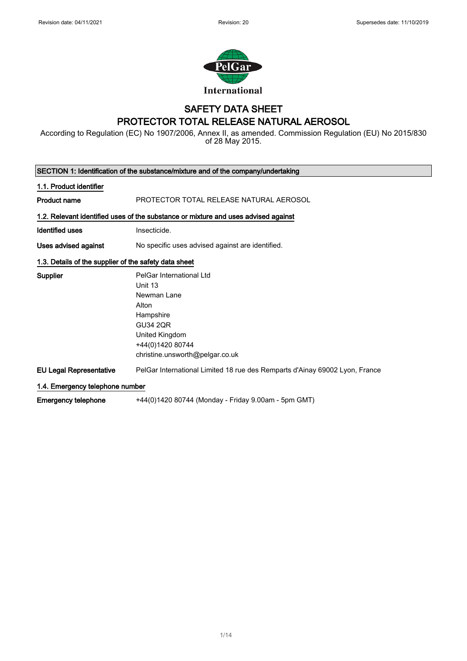$\overline{\phantom{a}}$ 



# SAFETY DATA SHEET

# PROTECTOR TOTAL RELEASE NATURAL AEROSOL

According to Regulation (EC) No 1907/2006, Annex II, as amended. Commission Regulation (EU) No 2015/830 of 28 May 2015.

|                                                       | SECTION 1: Identification of the substance/mixture and of the company/undertaking                                                                                    |
|-------------------------------------------------------|----------------------------------------------------------------------------------------------------------------------------------------------------------------------|
| 1.1. Product identifier                               |                                                                                                                                                                      |
| <b>Product name</b>                                   | PROTECTOR TOTAL RELEASE NATURAL AEROSOL                                                                                                                              |
|                                                       | 1.2. Relevant identified uses of the substance or mixture and uses advised against                                                                                   |
| <b>Identified uses</b>                                | Insecticide.                                                                                                                                                         |
| Uses advised against                                  | No specific uses advised against are identified.                                                                                                                     |
| 1.3. Details of the supplier of the safety data sheet |                                                                                                                                                                      |
| <b>Supplier</b>                                       | PelGar International Ltd<br>Unit 13<br>Newman Lane<br>Alton<br>Hampshire<br><b>GU34 2QR</b><br>United Kingdom<br>+44(0)1420 80744<br>christine.unsworth@pelgar.co.uk |
| <b>EU Legal Representative</b>                        | PelGar International Limited 18 rue des Remparts d'Ainay 69002 Lyon, France                                                                                          |
| 1.4. Emergency telephone number                       |                                                                                                                                                                      |
| <b>Emergency telephone</b>                            | +44(0)1420 80744 (Monday - Friday 9.00am - 5pm GMT)                                                                                                                  |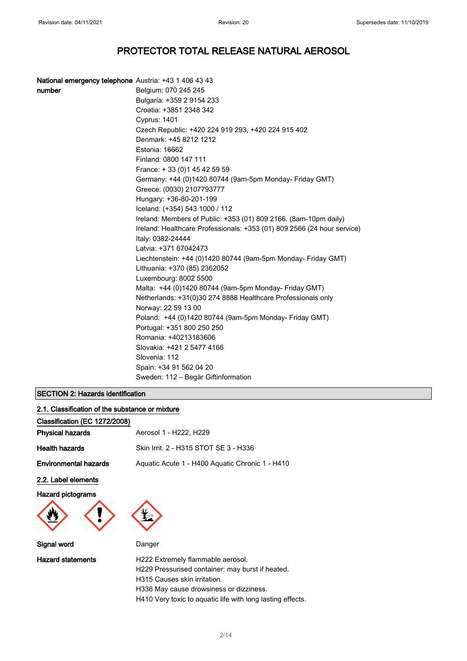| National emergency telephone Austria: +43 1 406 43 43 |                                                                         |
|-------------------------------------------------------|-------------------------------------------------------------------------|
| number                                                | Belgium: 070 245 245                                                    |
|                                                       | Bulgaria: +359 2 9154 233                                               |
|                                                       | Croatia: +3851 2348 342                                                 |
|                                                       | <b>Cyprus: 1401</b>                                                     |
|                                                       | Czech Republic: +420 224 919 293, +420 224 915 402                      |
|                                                       | Denmark: +45 8212 1212                                                  |
|                                                       | Estonia: 16662                                                          |
|                                                       | Finland: 0800 147 111                                                   |
|                                                       | France: +33 (0) 145 42 59 59                                            |
|                                                       | Germany: +44 (0)1420 80744 (9am-5pm Monday- Friday GMT)                 |
|                                                       | Greece: (0030) 2107793777                                               |
|                                                       | Hungary: +36-80-201-199                                                 |
|                                                       | Iceland: (+354) 543 1000 / 112                                          |
|                                                       | Ireland: Members of Public: +353 (01) 809 2166. (8am-10pm daily)        |
|                                                       | Ireland: Healthcare Professionals: +353 (01) 809 2566 (24 hour service) |
|                                                       | Italy: 0382-24444                                                       |
|                                                       | Latvia: +371 67042473                                                   |
|                                                       | Liechtenstein: +44 (0)1420 80744 (9am-5pm Monday- Friday GMT)           |
|                                                       | Lithuania: +370 (85) 2362052                                            |
|                                                       | Luxembourg: 8002 5500                                                   |
|                                                       | Malta: +44 (0)1420 80744 (9am-5pm Monday- Friday GMT)                   |
|                                                       | Netherlands: +31(0)30 274 8888 Healthcare Professionals only            |
|                                                       | Norway: 22 59 13 00                                                     |
|                                                       | Poland: +44 (0)1420 80744 (9am-5pm Monday- Friday GMT)                  |
|                                                       | Portugal: +351 800 250 250                                              |
|                                                       | Romania: +40213183606                                                   |
|                                                       | Slovakia: +421 2 5477 4166                                              |
|                                                       | Slovenia: 112                                                           |
|                                                       | Spain: +34 91 562 04 20                                                 |
|                                                       | Sweden: 112 – Begär Giftinformation                                     |

#### SECTION 2: Hazards identification

| 2.1. Classification of the substance or mixture |                                                 |  |
|-------------------------------------------------|-------------------------------------------------|--|
| Classification (EC 1272/2008)                   |                                                 |  |
| <b>Physical hazards</b>                         | Aerosol 1 - H222, H229                          |  |
| <b>Health hazards</b>                           | Skin Irrit. 2 - H315 STOT SE 3 - H336           |  |
| <b>Environmental hazards</b>                    | Aquatic Acute 1 - H400 Aquatic Chronic 1 - H410 |  |
| 2.2. Label elements                             |                                                 |  |
| <b>Hazard pictograms</b>                        |                                                 |  |
| Signal word                                     | Danger                                          |  |
|                                                 |                                                 |  |

Hazard statements **H222** Extremely flammable aerosol. H229 Pressurised container: may burst if heated. H315 Causes skin irritation. H336 May cause drowsiness or dizziness. H410 Very toxic to aquatic life with long lasting effects.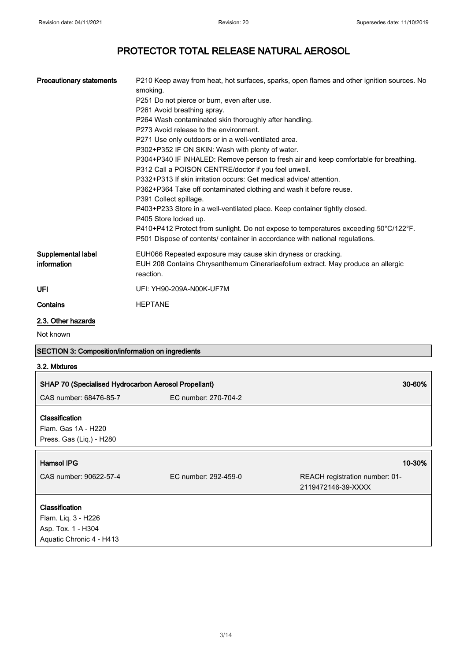| <b>Precautionary statements</b>                      | P210 Keep away from heat, hot surfaces, sparks, open flames and other ignition sources. No<br>smoking.                                       |  |
|------------------------------------------------------|----------------------------------------------------------------------------------------------------------------------------------------------|--|
|                                                      | P251 Do not pierce or burn, even after use.                                                                                                  |  |
|                                                      | P261 Avoid breathing spray.                                                                                                                  |  |
|                                                      | P264 Wash contaminated skin thoroughly after handling.                                                                                       |  |
|                                                      | P273 Avoid release to the environment.                                                                                                       |  |
|                                                      | P271 Use only outdoors or in a well-ventilated area.                                                                                         |  |
|                                                      | P302+P352 IF ON SKIN: Wash with plenty of water.                                                                                             |  |
|                                                      | P304+P340 IF INHALED: Remove person to fresh air and keep comfortable for breathing.<br>P312 Call a POISON CENTRE/doctor if you feel unwell. |  |
|                                                      | P332+P313 If skin irritation occurs: Get medical advice/attention.                                                                           |  |
|                                                      | P362+P364 Take off contaminated clothing and wash it before reuse.<br>P391 Collect spillage.                                                 |  |
|                                                      | P403+P233 Store in a well-ventilated place. Keep container tightly closed.<br>P405 Store locked up.                                          |  |
|                                                      | P410+P412 Protect from sunlight. Do not expose to temperatures exceeding 50°C/122°F.                                                         |  |
|                                                      | P501 Dispose of contents/ container in accordance with national regulations.                                                                 |  |
| Supplemental label                                   | EUH066 Repeated exposure may cause skin dryness or cracking.                                                                                 |  |
| information                                          | EUH 208 Contains Chrysanthemum Cinerariaefolium extract. May produce an allergic<br>reaction.                                                |  |
| UFI                                                  | UFI: YH90-209A-N00K-UF7M                                                                                                                     |  |
| Contains                                             | <b>HEPTANE</b>                                                                                                                               |  |
| 2.3. Other hazards                                   |                                                                                                                                              |  |
| Not known                                            |                                                                                                                                              |  |
| SECTION 3: Composition/information on ingredients    |                                                                                                                                              |  |
| 3.2. Mixtures                                        |                                                                                                                                              |  |
| SHAP 70 (Specialised Hydrocarbon Aerosol Propellant) | 30-60%                                                                                                                                       |  |
| CAS number: 68476-85-7                               | EC number: 270-704-2                                                                                                                         |  |
| Classification                                       |                                                                                                                                              |  |
| Flam. Gas 1A - H220                                  |                                                                                                                                              |  |
| Press. Gas (Liq.) - H280                             |                                                                                                                                              |  |
|                                                      |                                                                                                                                              |  |
| <b>Hamsol IPG</b>                                    | 10-30%                                                                                                                                       |  |

| nallisul ir G                         |                      | ט-טו                                                 |
|---------------------------------------|----------------------|------------------------------------------------------|
| CAS number: 90622-57-4                | EC number: 292-459-0 | REACH registration number: 01-<br>2119472146-39-XXXX |
| Classification<br>Flam. Liq. 3 - H226 |                      |                                                      |
| Asp. Tox. 1 - H304                    |                      |                                                      |
| Aquatic Chronic 4 - H413              |                      |                                                      |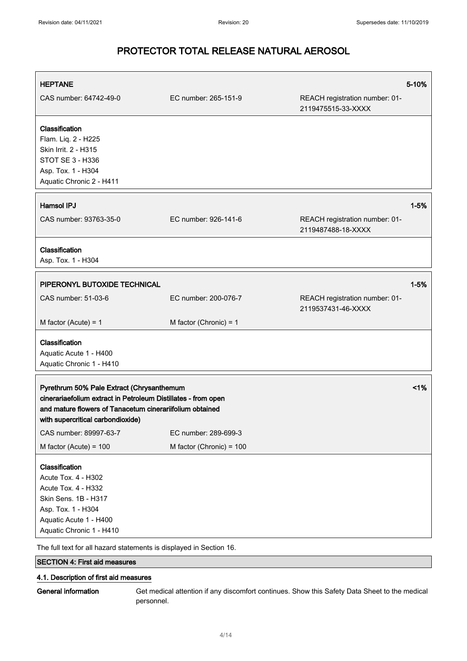| <b>HEPTANE</b>                                                                                                                                                                                                                                 |                          |                                                      | 5-10%    |
|------------------------------------------------------------------------------------------------------------------------------------------------------------------------------------------------------------------------------------------------|--------------------------|------------------------------------------------------|----------|
| CAS number: 64742-49-0                                                                                                                                                                                                                         | EC number: 265-151-9     | REACH registration number: 01-<br>2119475515-33-XXXX |          |
| Classification<br>Flam. Liq. 2 - H225<br>Skin Irrit. 2 - H315<br>STOT SE 3 - H336<br>Asp. Tox. 1 - H304<br>Aquatic Chronic 2 - H411                                                                                                            |                          |                                                      |          |
| <b>Hamsol IPJ</b>                                                                                                                                                                                                                              |                          |                                                      | $1 - 5%$ |
| CAS number: 93763-35-0                                                                                                                                                                                                                         | EC number: 926-141-6     | REACH registration number: 01-<br>2119487488-18-XXXX |          |
| Classification<br>Asp. Tox. 1 - H304                                                                                                                                                                                                           |                          |                                                      |          |
| PIPERONYL BUTOXIDE TECHNICAL                                                                                                                                                                                                                   |                          |                                                      | $1 - 5%$ |
| CAS number: 51-03-6                                                                                                                                                                                                                            | EC number: 200-076-7     | REACH registration number: 01-<br>2119537431-46-XXXX |          |
| M factor (Acute) = $1$                                                                                                                                                                                                                         | M factor (Chronic) = $1$ |                                                      |          |
| Classification<br>Aquatic Acute 1 - H400<br>Aquatic Chronic 1 - H410                                                                                                                                                                           |                          |                                                      |          |
| $<$ 1%<br>Pyrethrum 50% Pale Extract (Chrysanthemum<br>cinerariaefolium extract in Petroleum Distillates - from open<br>and mature flowers of Tanacetum cinerariifolium obtained<br>with supercritical carbondioxide)                          |                          |                                                      |          |
| CAS number: 89997-63-7                                                                                                                                                                                                                         | EC number: 289-699-3     |                                                      |          |
| M factor (Acute) = $100$                                                                                                                                                                                                                       | M factor (Chronic) = 100 |                                                      |          |
| Classification<br>Acute Tox. 4 - H302<br><b>Acute Tox. 4 - H332</b><br>Skin Sens. 1B - H317<br>Asp. Tox. 1 - H304<br>Aquatic Acute 1 - H400<br>Aquatic Chronic 1 - H410<br>The full text for all hazard statements is displayed in Section 16. |                          |                                                      |          |

## SECTION 4: First aid measures

### 4.1. Description of first aid measures

General information Get medical attention if any discomfort continues. Show this Safety Data Sheet to the medical personnel.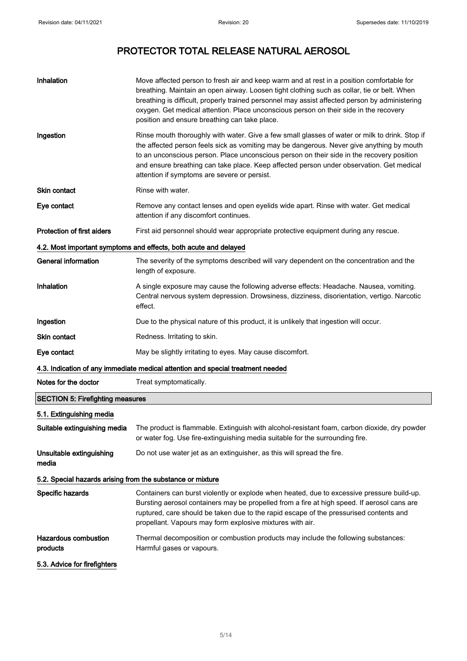| Inhalation                                                       | Move affected person to fresh air and keep warm and at rest in a position comfortable for<br>breathing. Maintain an open airway. Loosen tight clothing such as collar, tie or belt. When<br>breathing is difficult, properly trained personnel may assist affected person by administering<br>oxygen. Get medical attention. Place unconscious person on their side in the recovery<br>position and ensure breathing can take place. |  |
|------------------------------------------------------------------|--------------------------------------------------------------------------------------------------------------------------------------------------------------------------------------------------------------------------------------------------------------------------------------------------------------------------------------------------------------------------------------------------------------------------------------|--|
| Ingestion                                                        | Rinse mouth thoroughly with water. Give a few small glasses of water or milk to drink. Stop if<br>the affected person feels sick as vomiting may be dangerous. Never give anything by mouth<br>to an unconscious person. Place unconscious person on their side in the recovery position<br>and ensure breathing can take place. Keep affected person under observation. Get medical<br>attention if symptoms are severe or persist. |  |
| <b>Skin contact</b>                                              | Rinse with water.                                                                                                                                                                                                                                                                                                                                                                                                                    |  |
| Eye contact                                                      | Remove any contact lenses and open eyelids wide apart. Rinse with water. Get medical<br>attention if any discomfort continues.                                                                                                                                                                                                                                                                                                       |  |
| <b>Protection of first aiders</b>                                | First aid personnel should wear appropriate protective equipment during any rescue.                                                                                                                                                                                                                                                                                                                                                  |  |
| 4.2. Most important symptoms and effects, both acute and delayed |                                                                                                                                                                                                                                                                                                                                                                                                                                      |  |
| <b>General information</b>                                       | The severity of the symptoms described will vary dependent on the concentration and the<br>length of exposure.                                                                                                                                                                                                                                                                                                                       |  |
| Inhalation                                                       | A single exposure may cause the following adverse effects: Headache. Nausea, vomiting.<br>Central nervous system depression. Drowsiness, dizziness, disorientation, vertigo. Narcotic<br>effect.                                                                                                                                                                                                                                     |  |
| Ingestion                                                        | Due to the physical nature of this product, it is unlikely that ingestion will occur.                                                                                                                                                                                                                                                                                                                                                |  |
| <b>Skin contact</b>                                              | Redness. Irritating to skin.                                                                                                                                                                                                                                                                                                                                                                                                         |  |
| Eye contact                                                      | May be slightly irritating to eyes. May cause discomfort.                                                                                                                                                                                                                                                                                                                                                                            |  |
|                                                                  | 4.3. Indication of any immediate medical attention and special treatment needed                                                                                                                                                                                                                                                                                                                                                      |  |
| Notes for the doctor                                             | Treat symptomatically.                                                                                                                                                                                                                                                                                                                                                                                                               |  |
| <b>SECTION 5: Firefighting measures</b>                          |                                                                                                                                                                                                                                                                                                                                                                                                                                      |  |
| 5.1. Extinguishing media                                         |                                                                                                                                                                                                                                                                                                                                                                                                                                      |  |
| Suitable extinguishing media                                     | The product is flammable. Extinguish with alcohol-resistant foam, carbon dioxide, dry powder<br>or water fog. Use fire-extinguishing media suitable for the surrounding fire.                                                                                                                                                                                                                                                        |  |
| Unsuitable extinguishing<br>media                                | Do not use water jet as an extinguisher, as this will spread the fire.                                                                                                                                                                                                                                                                                                                                                               |  |
| 5.2. Special hazards arising from the substance or mixture       |                                                                                                                                                                                                                                                                                                                                                                                                                                      |  |
| Specific hazards                                                 | Containers can burst violently or explode when heated, due to excessive pressure build-up.<br>Bursting aerosol containers may be propelled from a fire at high speed. If aerosol cans are<br>ruptured, care should be taken due to the rapid escape of the pressurised contents and<br>propellant. Vapours may form explosive mixtures with air.                                                                                     |  |
| <b>Hazardous combustion</b><br>products                          | Thermal decomposition or combustion products may include the following substances:<br>Harmful gases or vapours.                                                                                                                                                                                                                                                                                                                      |  |
| 5.3. Advice for firefighters                                     |                                                                                                                                                                                                                                                                                                                                                                                                                                      |  |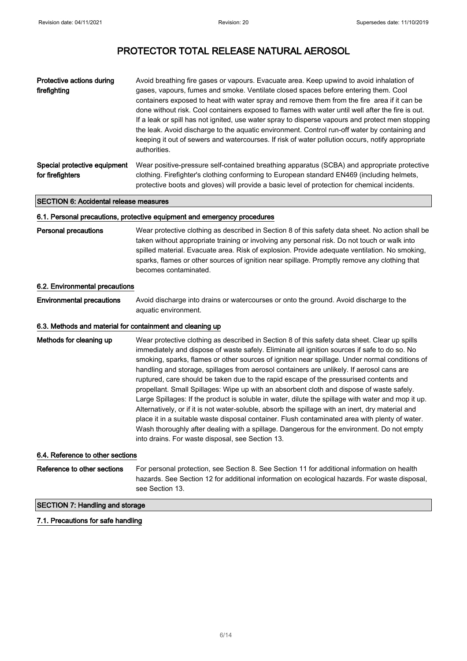| Protective actions during<br>firefighting        | Avoid breathing fire gases or vapours. Evacuate area. Keep upwind to avoid inhalation of<br>gases, vapours, fumes and smoke. Ventilate closed spaces before entering them. Cool<br>containers exposed to heat with water spray and remove them from the fire area if it can be<br>done without risk. Cool containers exposed to flames with water until well after the fire is out.<br>If a leak or spill has not ignited, use water spray to disperse vapours and protect men stopping<br>the leak. Avoid discharge to the aguatic environment. Control run-off water by containing and<br>keeping it out of sewers and watercourses. If risk of water pollution occurs, notify appropriate<br>authorities. |
|--------------------------------------------------|--------------------------------------------------------------------------------------------------------------------------------------------------------------------------------------------------------------------------------------------------------------------------------------------------------------------------------------------------------------------------------------------------------------------------------------------------------------------------------------------------------------------------------------------------------------------------------------------------------------------------------------------------------------------------------------------------------------|
| Special protective equipment<br>for firefighters | Wear positive-pressure self-contained breathing apparatus (SCBA) and appropriate protective<br>clothing. Firefighter's clothing conforming to European standard EN469 (including helmets,<br>protective boots and gloves) will provide a basic level of protection for chemical incidents.                                                                                                                                                                                                                                                                                                                                                                                                                   |

#### SECTION 6: Accidental release measures

#### 6.1. Personal precautions, protective equipment and emergency procedures

Personal precautions Wear protective clothing as described in Section 8 of this safety data sheet. No action shall be taken without appropriate training or involving any personal risk. Do not touch or walk into spilled material. Evacuate area. Risk of explosion. Provide adequate ventilation. No smoking, sparks, flames or other sources of ignition near spillage. Promptly remove any clothing that becomes contaminated.

#### 6.2. Environmental precautions

Environmental precautions Avoid discharge into drains or watercourses or onto the ground. Avoid discharge to the aquatic environment.

#### 6.3. Methods and material for containment and cleaning up

Methods for cleaning up Wear protective clothing as described in Section 8 of this safety data sheet. Clear up spills immediately and dispose of waste safely. Eliminate all ignition sources if safe to do so. No smoking, sparks, flames or other sources of ignition near spillage. Under normal conditions of handling and storage, spillages from aerosol containers are unlikely. If aerosol cans are ruptured, care should be taken due to the rapid escape of the pressurised contents and propellant. Small Spillages: Wipe up with an absorbent cloth and dispose of waste safely. Large Spillages: If the product is soluble in water, dilute the spillage with water and mop it up. Alternatively, or if it is not water-soluble, absorb the spillage with an inert, dry material and place it in a suitable waste disposal container. Flush contaminated area with plenty of water. Wash thoroughly after dealing with a spillage. Dangerous for the environment. Do not empty into drains. For waste disposal, see Section 13.

#### 6.4. Reference to other sections

Reference to other sections For personal protection, see Section 8. See Section 11 for additional information on health hazards. See Section 12 for additional information on ecological hazards. For waste disposal, see Section 13.

#### SECTION 7: Handling and storage

#### 7.1. Precautions for safe handling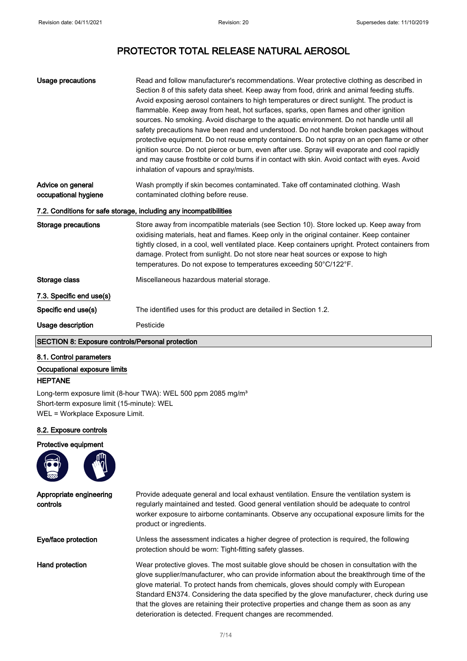| Usage precautions                         | Read and follow manufacturer's recommendations. Wear protective clothing as described in<br>Section 8 of this safety data sheet. Keep away from food, drink and animal feeding stuffs.<br>Avoid exposing aerosol containers to high temperatures or direct sunlight. The product is<br>flammable. Keep away from heat, hot surfaces, sparks, open flames and other ignition<br>sources. No smoking. Avoid discharge to the aquatic environment. Do not handle until all<br>safety precautions have been read and understood. Do not handle broken packages without<br>protective equipment. Do not reuse empty containers. Do not spray on an open flame or other<br>ignition source. Do not pierce or burn, even after use. Spray will evaporate and cool rapidly<br>and may cause frostbite or cold burns if in contact with skin. Avoid contact with eyes. Avoid<br>inhalation of vapours and spray/mists. |
|-------------------------------------------|---------------------------------------------------------------------------------------------------------------------------------------------------------------------------------------------------------------------------------------------------------------------------------------------------------------------------------------------------------------------------------------------------------------------------------------------------------------------------------------------------------------------------------------------------------------------------------------------------------------------------------------------------------------------------------------------------------------------------------------------------------------------------------------------------------------------------------------------------------------------------------------------------------------|
| Advice on general<br>occupational hygiene | Wash promptly if skin becomes contaminated. Take off contaminated clothing. Wash<br>contaminated clothing before reuse.                                                                                                                                                                                                                                                                                                                                                                                                                                                                                                                                                                                                                                                                                                                                                                                       |
|                                           | 7.2. Conditions for safe storage, including any incompatibilities                                                                                                                                                                                                                                                                                                                                                                                                                                                                                                                                                                                                                                                                                                                                                                                                                                             |
| Storage precautions                       | Store away from incompatible materials (see Section 10). Store locked up. Keep away from<br>oxidising materials, heat and flames. Keep only in the original container. Keep container<br>tightly closed, in a cool, well ventilated place. Keep containers upright. Protect containers from<br>damage. Protect from sunlight. Do not store near heat sources or expose to high<br>temperatures. Do not expose to temperatures exceeding 50°C/122°F.                                                                                                                                                                                                                                                                                                                                                                                                                                                           |
| Storage class                             | Miscellaneous hazardous material storage.                                                                                                                                                                                                                                                                                                                                                                                                                                                                                                                                                                                                                                                                                                                                                                                                                                                                     |
| 7.3. Specific end use(s)                  |                                                                                                                                                                                                                                                                                                                                                                                                                                                                                                                                                                                                                                                                                                                                                                                                                                                                                                               |
| Specific end use(s)                       | The identified uses for this product are detailed in Section 1.2.                                                                                                                                                                                                                                                                                                                                                                                                                                                                                                                                                                                                                                                                                                                                                                                                                                             |
| Usage description                         | Pesticide                                                                                                                                                                                                                                                                                                                                                                                                                                                                                                                                                                                                                                                                                                                                                                                                                                                                                                     |

### SECTION 8: Exposure controls/Personal protection

#### 8.1. Control parameters

Occupational exposure limits HEPTANE

Long-term exposure limit (8-hour TWA): WEL 500 ppm 2085 mg/m<sup>3</sup> Short-term exposure limit (15-minute): WEL WEL = Workplace Exposure Limit.

#### 8.2. Exposure controls

#### Protective equipment



| Appropriate engineering<br>controls | Provide adequate general and local exhaust ventilation. Ensure the ventilation system is<br>requiarly maintained and tested. Good general ventilation should be adequate to control<br>worker exposure to airborne contaminants. Observe any occupational exposure limits for the<br>product or ingredients.                                                                                                                                                                                                                              |
|-------------------------------------|-------------------------------------------------------------------------------------------------------------------------------------------------------------------------------------------------------------------------------------------------------------------------------------------------------------------------------------------------------------------------------------------------------------------------------------------------------------------------------------------------------------------------------------------|
| Eye/face protection                 | Unless the assessment indicates a higher degree of protection is required, the following<br>protection should be worn: Tight-fitting safety glasses.                                                                                                                                                                                                                                                                                                                                                                                      |
| Hand protection                     | Wear protective gloves. The most suitable glove should be chosen in consultation with the<br>glove supplier/manufacturer, who can provide information about the breakthrough time of the<br>glove material. To protect hands from chemicals, gloves should comply with European<br>Standard EN374. Considering the data specified by the glove manufacturer, check during use<br>that the gloves are retaining their protective properties and change them as soon as any<br>deterioration is detected. Frequent changes are recommended. |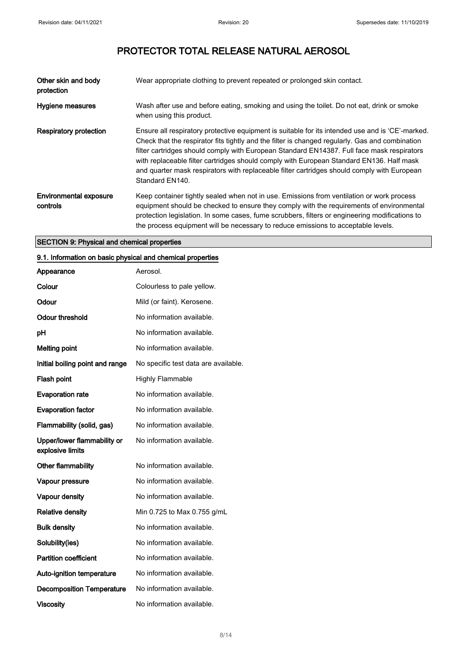| Other skin and body<br>protection  | Wear appropriate clothing to prevent repeated or prolonged skin contact.                                                                                                                                                                                                                                                                                                                                                                                                                                        |
|------------------------------------|-----------------------------------------------------------------------------------------------------------------------------------------------------------------------------------------------------------------------------------------------------------------------------------------------------------------------------------------------------------------------------------------------------------------------------------------------------------------------------------------------------------------|
| Hygiene measures                   | Wash after use and before eating, smoking and using the toilet. Do not eat, drink or smoke<br>when using this product.                                                                                                                                                                                                                                                                                                                                                                                          |
| Respiratory protection             | Ensure all respiratory protective equipment is suitable for its intended use and is 'CE'-marked.<br>Check that the respirator fits tightly and the filter is changed regularly. Gas and combination<br>filter cartridges should comply with European Standard EN14387. Full face mask respirators<br>with replaceable filter cartridges should comply with European Standard EN136. Half mask<br>and quarter mask respirators with replaceable filter cartridges should comply with European<br>Standard EN140. |
| Environmental exposure<br>controls | Keep container tightly sealed when not in use. Emissions from ventilation or work process<br>equipment should be checked to ensure they comply with the requirements of environmental<br>protection legislation. In some cases, fume scrubbers, filters or engineering modifications to<br>the process equipment will be necessary to reduce emissions to acceptable levels.                                                                                                                                    |

#### SECTION 9: Physical and chemical properties

### 9.1. Information on basic physical and chemical properties

| Appearance                                      | Aerosol.                             |
|-------------------------------------------------|--------------------------------------|
| Colour                                          | Colourless to pale yellow.           |
| Odour                                           | Mild (or faint). Kerosene.           |
| <b>Odour threshold</b>                          | No information available.            |
| рH                                              | No information available.            |
| <b>Melting point</b>                            | No information available.            |
| Initial boiling point and range                 | No specific test data are available. |
| Flash point                                     | <b>Highly Flammable</b>              |
| <b>Evaporation rate</b>                         | No information available.            |
| <b>Evaporation factor</b>                       | No information available.            |
| Flammability (solid, gas)                       | No information available.            |
| Upper/lower flammability or<br>explosive limits | No information available.            |
| Other flammability                              | No information available.            |
| Vapour pressure                                 | No information available.            |
| Vapour density                                  | No information available.            |
| <b>Relative density</b>                         | Min 0.725 to Max 0.755 g/mL          |
| <b>Bulk density</b>                             | No information available.            |
| Solubility(ies)                                 | No information available.            |
| <b>Partition coefficient</b>                    | No information available.            |
| Auto-ignition temperature                       | No information available.            |
| <b>Decomposition Temperature</b>                | No information available.            |
| <b>Viscosity</b>                                | No information available.            |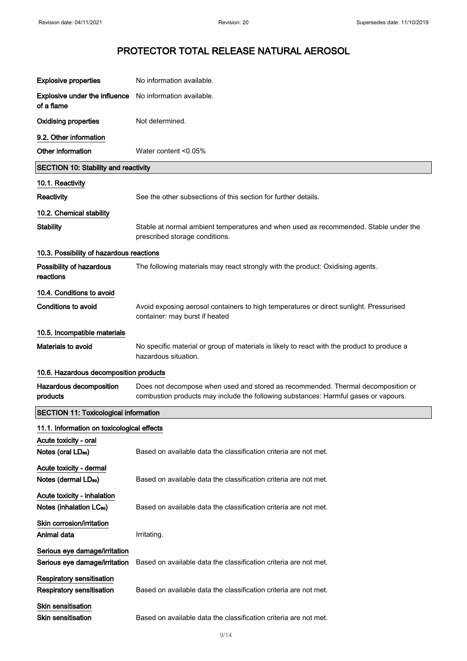| <b>Explosive properties</b>                                         | No information available.                                                                                                                                               |  |
|---------------------------------------------------------------------|-------------------------------------------------------------------------------------------------------------------------------------------------------------------------|--|
| <b>Explosive under the influence</b><br>of a flame                  | No information available.                                                                                                                                               |  |
| <b>Oxidising properties</b>                                         | Not determined.                                                                                                                                                         |  |
| 9.2. Other information                                              |                                                                                                                                                                         |  |
| Other information                                                   | Water content <0.05%                                                                                                                                                    |  |
| <b>SECTION 10: Stability and reactivity</b>                         |                                                                                                                                                                         |  |
| 10.1. Reactivity                                                    |                                                                                                                                                                         |  |
| <b>Reactivity</b>                                                   | See the other subsections of this section for further details.                                                                                                          |  |
| 10.2. Chemical stability                                            |                                                                                                                                                                         |  |
| <b>Stability</b>                                                    | Stable at normal ambient temperatures and when used as recommended. Stable under the<br>prescribed storage conditions.                                                  |  |
| 10.3. Possibility of hazardous reactions                            |                                                                                                                                                                         |  |
| Possibility of hazardous<br>reactions                               | The following materials may react strongly with the product: Oxidising agents.                                                                                          |  |
| 10.4. Conditions to avoid                                           |                                                                                                                                                                         |  |
| <b>Conditions to avoid</b>                                          | Avoid exposing aerosol containers to high temperatures or direct sunlight. Pressurised<br>container: may burst if heated                                                |  |
| 10.5. Incompatible materials                                        |                                                                                                                                                                         |  |
| <b>Materials to avoid</b>                                           | No specific material or group of materials is likely to react with the product to produce a<br>hazardous situation.                                                     |  |
| 10.6. Hazardous decomposition products                              |                                                                                                                                                                         |  |
| Hazardous decomposition<br>products                                 | Does not decompose when used and stored as recommended. Thermal decomposition or<br>combustion products may include the following substances: Harmful gases or vapours. |  |
| <b>SECTION 11: Toxicological information</b>                        |                                                                                                                                                                         |  |
| 11.1. Information on toxicological effects                          |                                                                                                                                                                         |  |
| Acute toxicity - oral                                               |                                                                                                                                                                         |  |
| Notes (oral LD <sub>50</sub> )                                      | Based on available data the classification criteria are not met.                                                                                                        |  |
| Acute toxicity - dermal<br>Notes (dermal LD <sub>50</sub> )         | Based on available data the classification criteria are not met.                                                                                                        |  |
| Acute toxicity - inhalation<br>Notes (inhalation LC <sub>50</sub> ) | Based on available data the classification criteria are not met.                                                                                                        |  |
| Skin corrosion/irritation<br>Animal data                            | Irritating.                                                                                                                                                             |  |
| Serious eye damage/irritation<br>Serious eye damage/irritation      | Based on available data the classification criteria are not met.                                                                                                        |  |
| Respiratory sensitisation<br><b>Respiratory sensitisation</b>       | Based on available data the classification criteria are not met.                                                                                                        |  |
| Skin sensitisation<br>Skin sensitisation                            | Based on available data the classification criteria are not met.                                                                                                        |  |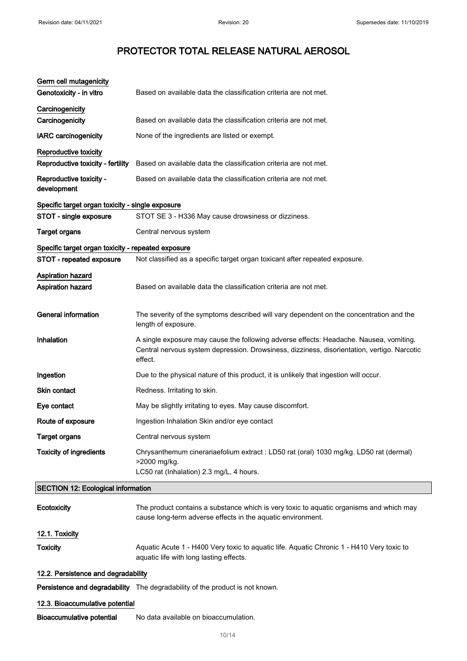| Germ cell mutagenicity<br>Genotoxicity - in vitro          | Based on available data the classification criteria are not met.                                                                                                                                 |  |
|------------------------------------------------------------|--------------------------------------------------------------------------------------------------------------------------------------------------------------------------------------------------|--|
| Carcinogenicity<br>Carcinogenicity                         | Based on available data the classification criteria are not met.                                                                                                                                 |  |
| <b>IARC</b> carcinogenicity                                | None of the ingredients are listed or exempt.                                                                                                                                                    |  |
| Reproductive toxicity<br>Reproductive toxicity - fertility | Based on available data the classification criteria are not met.                                                                                                                                 |  |
| Reproductive toxicity -<br>development                     | Based on available data the classification criteria are not met.                                                                                                                                 |  |
| Specific target organ toxicity - single exposure           |                                                                                                                                                                                                  |  |
| STOT - single exposure                                     | STOT SE 3 - H336 May cause drowsiness or dizziness.                                                                                                                                              |  |
| <b>Target organs</b>                                       | Central nervous system                                                                                                                                                                           |  |
| Specific target organ toxicity - repeated exposure         |                                                                                                                                                                                                  |  |
| STOT - repeated exposure                                   | Not classified as a specific target organ toxicant after repeated exposure.                                                                                                                      |  |
| Aspiration hazard<br><b>Aspiration hazard</b>              | Based on available data the classification criteria are not met.                                                                                                                                 |  |
| <b>General information</b>                                 | The severity of the symptoms described will vary dependent on the concentration and the<br>length of exposure.                                                                                   |  |
| Inhalation                                                 | A single exposure may cause the following adverse effects: Headache. Nausea, vomiting.<br>Central nervous system depression. Drowsiness, dizziness, disorientation, vertigo. Narcotic<br>effect. |  |
| Ingestion                                                  | Due to the physical nature of this product, it is unlikely that ingestion will occur.                                                                                                            |  |
| <b>Skin contact</b>                                        | Redness. Irritating to skin.                                                                                                                                                                     |  |
| Eye contact                                                | May be slightly irritating to eyes. May cause discomfort.                                                                                                                                        |  |
| Route of exposure                                          | Ingestion Inhalation Skin and/or eye contact                                                                                                                                                     |  |
| <b>Target organs</b>                                       | Central nervous system                                                                                                                                                                           |  |
| <b>Toxicity of ingredients</b>                             | Chrysanthemum cinerariaefolium extract : LD50 rat (oral) 1030 mg/kg. LD50 rat (dermal)<br>>2000 mg/kg.<br>LC50 rat (Inhalation) 2.3 mg/L, 4 hours.                                               |  |
| <b>SECTION 12: Ecological information</b>                  |                                                                                                                                                                                                  |  |
| Ecotoxicity                                                | The product contains a substance which is very toxic to aquatic organisms and which may<br>cause long-term adverse effects in the aquatic environment.                                           |  |
| 12.1. Toxicity                                             |                                                                                                                                                                                                  |  |
| <b>Toxicity</b>                                            | Aquatic Acute 1 - H400 Very toxic to aquatic life. Aquatic Chronic 1 - H410 Very toxic to<br>aquatic life with long lasting effects.                                                             |  |
| 12.2. Persistence and degradability                        |                                                                                                                                                                                                  |  |
|                                                            | Persistence and degradability The degradability of the product is not known.                                                                                                                     |  |
| 12.3. Bioaccumulative potential                            |                                                                                                                                                                                                  |  |
| <b>Bioaccumulative potential</b>                           | No data available on bioaccumulation.                                                                                                                                                            |  |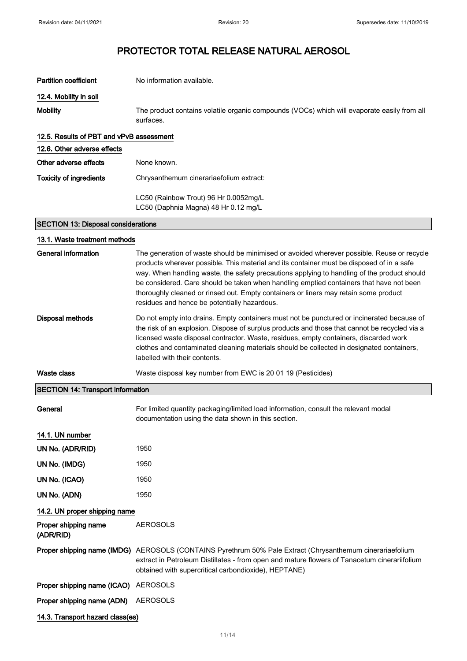| <b>Partition coefficient</b>               | No information available.                                                                                                                                                                                                                                                                                                                                                                                                                                                                                                 |
|--------------------------------------------|---------------------------------------------------------------------------------------------------------------------------------------------------------------------------------------------------------------------------------------------------------------------------------------------------------------------------------------------------------------------------------------------------------------------------------------------------------------------------------------------------------------------------|
| 12.4. Mobility in soil                     |                                                                                                                                                                                                                                                                                                                                                                                                                                                                                                                           |
| <b>Mobility</b>                            | The product contains volatile organic compounds (VOCs) which will evaporate easily from all<br>surfaces.                                                                                                                                                                                                                                                                                                                                                                                                                  |
| 12.5. Results of PBT and vPvB assessment   |                                                                                                                                                                                                                                                                                                                                                                                                                                                                                                                           |
| 12.6. Other adverse effects                |                                                                                                                                                                                                                                                                                                                                                                                                                                                                                                                           |
| Other adverse effects                      | None known.                                                                                                                                                                                                                                                                                                                                                                                                                                                                                                               |
| <b>Toxicity of ingredients</b>             | Chrysanthemum cinerariaefolium extract:                                                                                                                                                                                                                                                                                                                                                                                                                                                                                   |
|                                            | LC50 (Rainbow Trout) 96 Hr 0.0052mg/L<br>LC50 (Daphnia Magna) 48 Hr 0.12 mg/L                                                                                                                                                                                                                                                                                                                                                                                                                                             |
| <b>SECTION 13: Disposal considerations</b> |                                                                                                                                                                                                                                                                                                                                                                                                                                                                                                                           |
| 13.1. Waste treatment methods              |                                                                                                                                                                                                                                                                                                                                                                                                                                                                                                                           |
| <b>General information</b>                 | The generation of waste should be minimised or avoided wherever possible. Reuse or recycle<br>products wherever possible. This material and its container must be disposed of in a safe<br>way. When handling waste, the safety precautions applying to handling of the product should<br>be considered. Care should be taken when handling emptied containers that have not been<br>thoroughly cleaned or rinsed out. Empty containers or liners may retain some product<br>residues and hence be potentially hazardous. |
| <b>Disposal methods</b>                    | Do not empty into drains. Empty containers must not be punctured or incinerated because of<br>the risk of an explosion. Dispose of surplus products and those that cannot be recycled via a<br>licensed waste disposal contractor. Waste, residues, empty containers, discarded work<br>clothes and contaminated cleaning materials should be collected in designated containers,<br>labelled with their contents.                                                                                                        |
| Waste class                                | Waste disposal key number from EWC is 20 01 19 (Pesticides)                                                                                                                                                                                                                                                                                                                                                                                                                                                               |
| <b>SECTION 14: Transport information</b>   |                                                                                                                                                                                                                                                                                                                                                                                                                                                                                                                           |
| General                                    | For limited quantity packaging/limited load information, consult the relevant modal<br>documentation using the data shown in this section.                                                                                                                                                                                                                                                                                                                                                                                |
| 14.1. UN number                            |                                                                                                                                                                                                                                                                                                                                                                                                                                                                                                                           |
| UN No. (ADR/RID)                           | 1950                                                                                                                                                                                                                                                                                                                                                                                                                                                                                                                      |
| UN No. (IMDG)                              | 1950                                                                                                                                                                                                                                                                                                                                                                                                                                                                                                                      |
| UN No. (ICAO)                              | 1950                                                                                                                                                                                                                                                                                                                                                                                                                                                                                                                      |
| UN No. (ADN)                               | 1950                                                                                                                                                                                                                                                                                                                                                                                                                                                                                                                      |
| 14.2. UN proper shipping name              |                                                                                                                                                                                                                                                                                                                                                                                                                                                                                                                           |
| Proper shipping name<br>(ADR/RID)          | <b>AEROSOLS</b>                                                                                                                                                                                                                                                                                                                                                                                                                                                                                                           |
|                                            | Proper shipping name (IMDG) AEROSOLS (CONTAINS Pyrethrum 50% Pale Extract (Chrysanthemum cinerariaefolium<br>extract in Petroleum Distillates - from open and mature flowers of Tanacetum cinerariifolium<br>obtained with supercritical carbondioxide), HEPTANE)                                                                                                                                                                                                                                                         |
| Proper shipping name (ICAO)                | <b>AEROSOLS</b>                                                                                                                                                                                                                                                                                                                                                                                                                                                                                                           |
| Proper shipping name (ADN)                 | <b>AEROSOLS</b>                                                                                                                                                                                                                                                                                                                                                                                                                                                                                                           |
| 14.3. Transport hazard class(es)           |                                                                                                                                                                                                                                                                                                                                                                                                                                                                                                                           |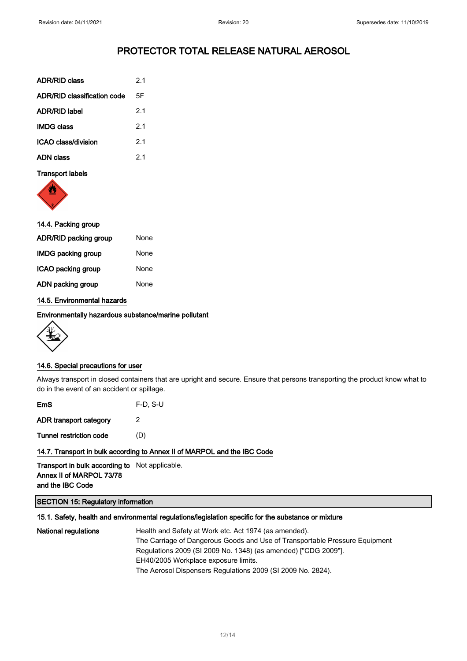| <b>ADR/RID class</b>        | 21 |
|-----------------------------|----|
| ADR/RID classification code | 5F |
| <b>ADR/RID label</b>        | 21 |
| <b>IMDG class</b>           | 21 |
| ICAO class/division         | 21 |
| ADN class                   | 21 |
|                             |    |

#### Transport labels



#### 14.4. Packing group

| ADR/RID packing group | None |
|-----------------------|------|
| IMDG packing group    | None |
| ICAO packing group    | None |
| ADN packing group     | None |

#### 14.5. Environmental hazards

Environmentally hazardous substance/marine pollutant



#### 14.6. Special precautions for user

Always transport in closed containers that are upright and secure. Ensure that persons transporting the product know what to do in the event of an accident or spillage.

| $F-D$ , S-U |
|-------------|
| 2           |
| (D)         |
|             |

#### 14.7. Transport in bulk according to Annex II of MARPOL and the IBC Code

#### Transport in bulk according to Not applicable. Annex II of MARPOL 73/78 and the IBC Code

#### SECTION 15: Regulatory information

#### 15.1. Safety, health and environmental regulations/legislation specific for the substance or mixture

National regulations Health and Safety at Work etc. Act 1974 (as amended). The Carriage of Dangerous Goods and Use of Transportable Pressure Equipment Regulations 2009 (SI 2009 No. 1348) (as amended) ["CDG 2009"]. EH40/2005 Workplace exposure limits. The Aerosol Dispensers Regulations 2009 (SI 2009 No. 2824).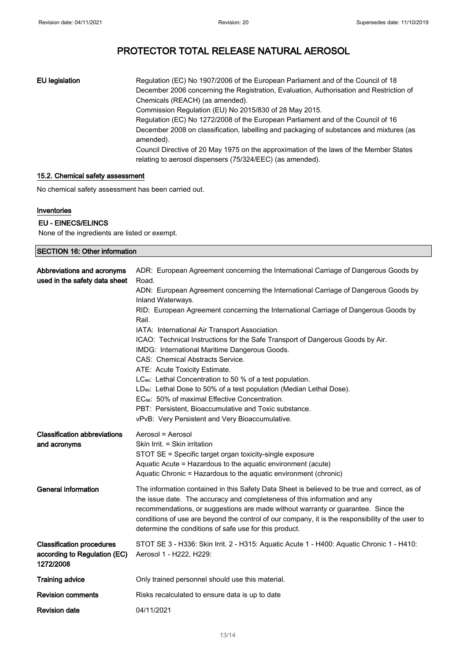EU legislation Regulation (EC) No 1907/2006 of the European Parliament and of the Council of 18 December 2006 concerning the Registration, Evaluation, Authorisation and Restriction of Chemicals (REACH) (as amended). Commission Regulation (EU) No 2015/830 of 28 May 2015. Regulation (EC) No 1272/2008 of the European Parliament and of the Council of 16 December 2008 on classification, labelling and packaging of substances and mixtures (as amended). Council Directive of 20 May 1975 on the approximation of the laws of the Member States relating to aerosol dispensers (75/324/EEC) (as amended).

#### 15.2. Chemical safety assessment

No chemical safety assessment has been carried out.

#### Inventories

#### EU - EINECS/ELINCS

None of the ingredients are listed or exempt.

| <b>SECTION 16: Other information</b>                                          |                                                                                                                                                                                                                                                                                                                                                                                                                               |
|-------------------------------------------------------------------------------|-------------------------------------------------------------------------------------------------------------------------------------------------------------------------------------------------------------------------------------------------------------------------------------------------------------------------------------------------------------------------------------------------------------------------------|
| Abbreviations and acronyms<br>used in the safety data sheet                   | ADR: European Agreement concerning the International Carriage of Dangerous Goods by<br>Road.                                                                                                                                                                                                                                                                                                                                  |
|                                                                               | ADN: European Agreement concerning the International Carriage of Dangerous Goods by<br>Inland Waterways.                                                                                                                                                                                                                                                                                                                      |
|                                                                               | RID: European Agreement concerning the International Carriage of Dangerous Goods by<br>Rail.                                                                                                                                                                                                                                                                                                                                  |
|                                                                               | IATA: International Air Transport Association.                                                                                                                                                                                                                                                                                                                                                                                |
|                                                                               | ICAO: Technical Instructions for the Safe Transport of Dangerous Goods by Air.                                                                                                                                                                                                                                                                                                                                                |
|                                                                               | IMDG: International Maritime Dangerous Goods.                                                                                                                                                                                                                                                                                                                                                                                 |
|                                                                               | CAS: Chemical Abstracts Service.                                                                                                                                                                                                                                                                                                                                                                                              |
|                                                                               | ATE: Acute Toxicity Estimate.                                                                                                                                                                                                                                                                                                                                                                                                 |
|                                                                               | LC <sub>50</sub> : Lethal Concentration to 50 % of a test population.                                                                                                                                                                                                                                                                                                                                                         |
|                                                                               | LD <sub>50</sub> : Lethal Dose to 50% of a test population (Median Lethal Dose).<br>EC <sub>50</sub> : 50% of maximal Effective Concentration.                                                                                                                                                                                                                                                                                |
|                                                                               | PBT: Persistent, Bioaccumulative and Toxic substance.                                                                                                                                                                                                                                                                                                                                                                         |
|                                                                               | vPvB: Very Persistent and Very Bioaccumulative.                                                                                                                                                                                                                                                                                                                                                                               |
| <b>Classification abbreviations</b><br>and acronyms                           | Aerosol = Aerosol<br>Skin Irrit. = Skin irritation<br>STOT SE = Specific target organ toxicity-single exposure<br>Aquatic Acute = Hazardous to the aquatic environment (acute)<br>Aquatic Chronic = Hazardous to the aquatic environment (chronic)                                                                                                                                                                            |
| <b>General information</b>                                                    | The information contained in this Safety Data Sheet is believed to be true and correct, as of<br>the issue date. The accuracy and completeness of this information and any<br>recommendations, or suggestions are made without warranty or guarantee. Since the<br>conditions of use are beyond the control of our company, it is the responsibility of the user to<br>determine the conditions of safe use for this product. |
| <b>Classification procedures</b><br>according to Regulation (EC)<br>1272/2008 | STOT SE 3 - H336: Skin Irrit. 2 - H315: Aquatic Acute 1 - H400: Aquatic Chronic 1 - H410:<br>Aerosol 1 - H222, H229:                                                                                                                                                                                                                                                                                                          |
| <b>Training advice</b>                                                        | Only trained personnel should use this material.                                                                                                                                                                                                                                                                                                                                                                              |
| <b>Revision comments</b>                                                      | Risks recalculated to ensure data is up to date                                                                                                                                                                                                                                                                                                                                                                               |
| <b>Revision date</b>                                                          | 04/11/2021                                                                                                                                                                                                                                                                                                                                                                                                                    |